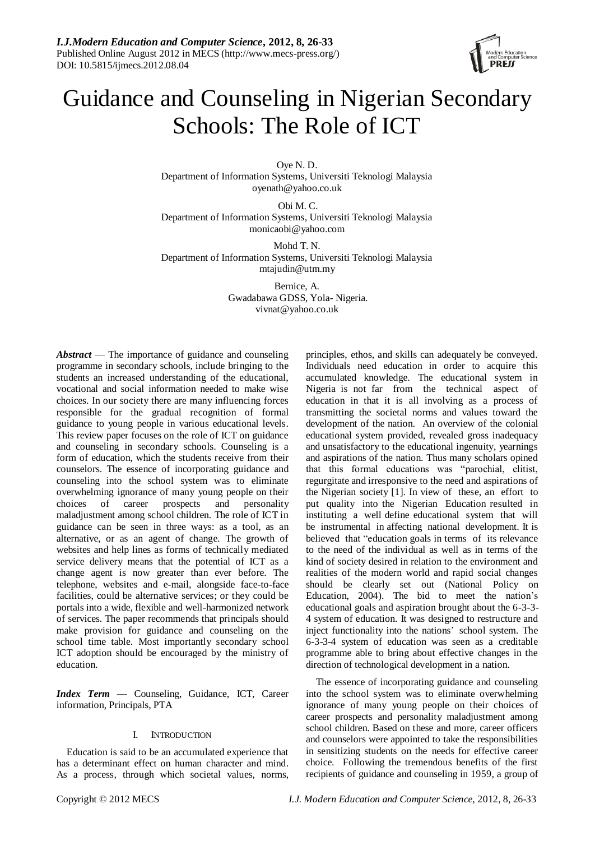

# Guidance and Counseling in Nigerian Secondary Schools: The Role of ICT

Oye N. D. Department of Information Systems, Universiti Teknologi Malaysia oyenath@yahoo.co.uk

Obi M. C. Department of Information Systems, Universiti Teknologi Malaysia monicaobi@yahoo.com

Mohd T. N. Department of Information Systems, Universiti Teknologi Malaysia mtajudin@utm.my

> Bernice, A. Gwadabawa GDSS, Yola- Nigeria. vivnat@yahoo.co.uk

*Abstract* — The importance of guidance and counseling programme in secondary schools, include bringing to the students an increased understanding of the educational, vocational and social information needed to make wise choices. In our society there are many influencing forces responsible for the gradual recognition of formal guidance to young people in various educational levels. This review paper focuses on the role of ICT on guidance and counseling in secondary schools. Counseling is a form of education, which the students receive from their counselors. The essence of incorporating guidance and counseling into the school system was to eliminate overwhelming ignorance of many young people on their choices of career prospects and personality maladjustment among school children. The role of ICT in guidance can be seen in three ways: as a tool, as an alternative, or as an agent of change. The growth of websites and help lines as forms of technically mediated service delivery means that the potential of ICT as a change agent is now greater than ever before. The telephone, websites and e-mail, alongside face-to-face facilities, could be alternative services; or they could be portals into a wide, flexible and well-harmonized network of services. The paper recommends that principals should make provision for guidance and counseling on the school time table. Most importantly secondary school ICT adoption should be encouraged by the ministry of education.

*Index Term —* Counseling, Guidance, ICT, Career information, Principals, PTA

# I. INTRODUCTION

Education is said to be an accumulated experience that has a determinant effect on human character and mind. As a process, through which societal values, norms, principles, ethos, and skills can adequately be conveyed. Individuals need education in order to acquire this accumulated knowledge. The educational system in Nigeria is not far from the technical aspect of education in that it is all involving as a process of transmitting the societal norms and values toward the development of the nation. An overview of the colonial educational system provided, revealed gross inadequacy and unsatisfactory to the educational ingenuity, yearnings and aspirations of the nation. Thus many scholars opined that this formal educations was "parochial, elitist, regurgitate and irresponsive to the need and aspirations of the Nigerian society [1]. In view of these, an effort to put quality into the Nigerian Education resulted in instituting a well define educational system that will be instrumental in affecting national development. It is believed that "education goals in terms of its relevance" to the need of the individual as well as in terms of the kind of society desired in relation to the environment and realities of the modern world and rapid social changes should be clearly set out (National Policy on Education, 2004). The bid to meet the nation's educational goals and aspiration brought about the 6-3-3- 4 system of education. It was designed to restructure and inject functionality into the nations' school system. The 6-3-3-4 system of education was seen as a creditable programme able to bring about effective changes in the direction of technological development in a nation.

The essence of incorporating guidance and counseling into the school system was to eliminate overwhelming ignorance of many young people on their choices of career prospects and personality maladjustment among school children. Based on these and more, career officers and counselors were appointed to take the responsibilities in sensitizing students on the needs for effective career choice. Following the tremendous benefits of the first recipients of guidance and counseling in 1959, a group of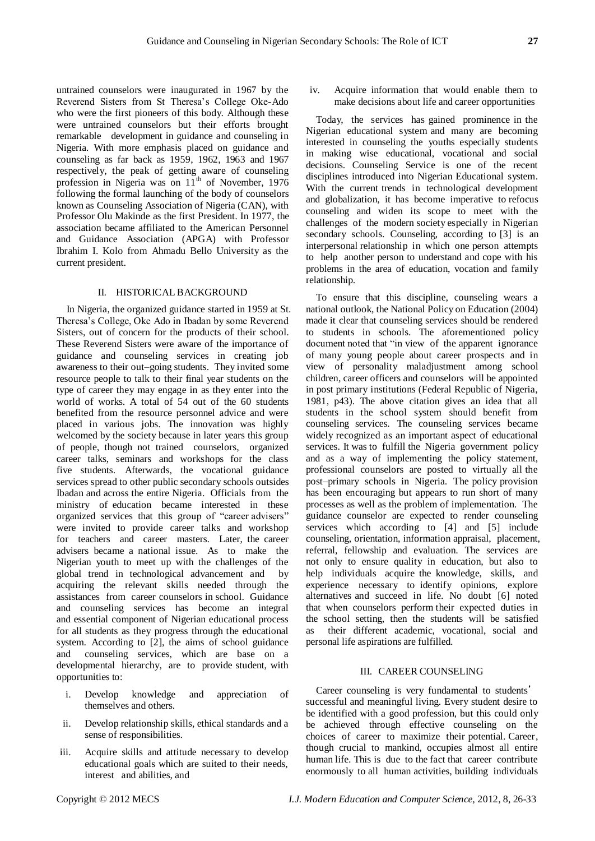untrained counselors were inaugurated in 1967 by the Reverend Sisters from St Theresa's College Oke-Ado who were the first pioneers of this body. Although these were untrained counselors but their efforts brought

remarkable development in guidance and counseling in Nigeria. With more emphasis placed on guidance and counseling as far back as 1959, 1962, 1963 and 1967 respectively, the peak of getting aware of counseling profession in Nigeria was on  $11^{th}$  of November, 1976 following the formal launching of the body of counselors known as Counseling Association of Nigeria (CAN), with Professor Olu Makinde as the first President. In 1977, the association became affiliated to the American Personnel and Guidance Association (APGA) with Professor Ibrahim I. Kolo from Ahmadu Bello University as the current president.

#### II. HISTORICALBACKGROUND

In Nigeria, the organized guidance started in 1959 at St. Theresa's College, Oke Ado in Ibadan by some Reverend Sisters, out of concern for the products of their school. These Reverend Sisters were aware of the importance of guidance and counseling services in creating job awareness to their out–going students. They invited some resource people to talk to their final year students on the type of career they may engage in as they enter into the world of works. A total of 54 out of the 60 students benefited from the resource personnel advice and were placed in various jobs. The innovation was highly welcomed by the society because in later years this group of people, though not trained counselors, organized career talks, seminars and workshops for the class five students. Afterwards, the vocational guidance services spread to other public secondary schools outsides Ibadan and across the entire Nigeria. Officials from the ministry of education became interested in these organized services that this group of "career advisers" were invited to provide career talks and workshop for teachers and career masters. Later, the career advisers became a national issue. As to make the Nigerian youth to meet up with the challenges of the global trend in technological advancement and by acquiring the relevant skills needed through the assistances from career counselors in school. Guidance and counseling services has become an integral and essential component of Nigerian educational process for all students as they progress through the educational system. According to [2], the aims of school guidance and counseling services, which are base on a developmental hierarchy, are to provide student, with opportunities to:

- i. Develop knowledge and appreciation of themselves and others.
- ii. Develop relationship skills, ethical standards and a sense of responsibilities.
- iii. Acquire skills and attitude necessary to develop educational goals which are suited to their needs, interest and abilities, and

iv. Acquire information that would enable them to make decisions about life and career opportunities

Today, the services has gained prominence in the Nigerian educational system and many are becoming interested in counseling the youths especially students in making wise educational, vocational and social decisions. Counseling Service is one of the recent disciplines introduced into Nigerian Educational system. With the current trends in technological development and globalization, it has become imperative to refocus counseling and widen its scope to meet with the challenges of the modern society especially in Nigerian secondary schools. Counseling, according to [3] is an interpersonal relationship in which one person attempts to help another person to understand and cope with his problems in the area of education, vocation and family relationship.

To ensure that this discipline, counseling wears a national outlook, the National Policy on Education (2004) made it clear that counseling services should be rendered to students in schools. The aforementioned policy document noted that "in view of the apparent ignorance of many young people about career prospects and in view of personality maladjustment among school children, career officers and counselors will be appointed in post primary institutions (Federal Republic of Nigeria, 1981, p43). The above citation gives an idea that all students in the school system should benefit from counseling services. The counseling services became widely recognized as an important aspect of educational services. It was to fulfill the Nigeria government policy and as a way of implementing the policy statement, professional counselors are posted to virtually all the post–primary schools in Nigeria. The policy provision has been encouraging but appears to run short of many processes as well as the problem of implementation. The guidance counselor are expected to render counseling services which according to [4] and [5] include counseling, orientation, information appraisal, placement, referral, fellowship and evaluation. The services are not only to ensure quality in education, but also to help individuals acquire the knowledge, skills, and experience necessary to identify opinions, explore alternatives and succeed in life. No doubt [6] noted that when counselors perform their expected duties in the school setting, then the students will be satisfied their different academic, vocational, social and personal life aspirations are fulfilled.

## III. CAREER COUNSELING

Career counseling is very fundamental to students' successful and meaningful living. Every student desire to be identified with a good profession, but this could only be achieved through effective counseling on the choices of career to maximize their potential. Career, though crucial to mankind, occupies almost all entire human life. This is due to the fact that career contribute enormously to all human activities, building individuals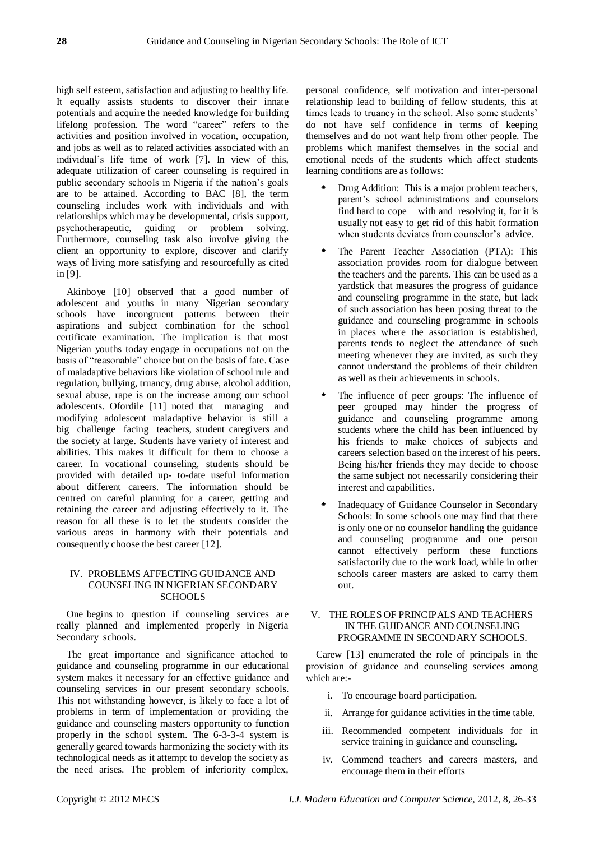high self esteem, satisfaction and adjusting to healthy life. It equally assists students to discover their innate potentials and acquire the needed knowledge for building lifelong profession. The word "career" refers to the activities and position involved in vocation, occupation, and jobs as well as to related activities associated with an individual's life time of work [7]. In view of this, adequate utilization of career counseling is required in public secondary schools in Nigeria if the nation's goals are to be attained. According to BAC [8], the term counseling includes work with individuals and with relationships which may be developmental, crisis support, psychotherapeutic, guiding or problem solving. Furthermore, counseling task also involve giving the client an opportunity to explore, discover and clarify ways of living more satisfying and resourcefully as cited in [9].

Akinboye [10] observed that a good number of adolescent and youths in many Nigerian secondary schools have incongruent patterns between their aspirations and subject combination for the school certificate examination. The implication is that most Nigerian youths today engage in occupations not on the basis of "reasonable" choice but on the basis of fate. Case of maladaptive behaviors like violation of school rule and regulation, bullying, truancy, drug abuse, alcohol addition, sexual abuse, rape is on the increase among our school adolescents. Ofordile [11] noted that managing and modifying adolescent maladaptive behavior is still a big challenge facing teachers, student caregivers and the society at large. Students have variety of interest and abilities. This makes it difficult for them to choose a career. In vocational counseling, students should be provided with detailed up- to-date useful information about different careers. The information should be centred on careful planning for a career, getting and retaining the career and adjusting effectively to it. The reason for all these is to let the students consider the various areas in harmony with their potentials and consequently choose the best career [12].

## IV. PROBLEMS AFFECTING GUIDANCE AND COUNSELING IN NIGERIAN SECONDARY **SCHOOLS**

One begins to question if counseling services are really planned and implemented properly in Nigeria Secondary schools.

The great importance and significance attached to guidance and counseling programme in our educational system makes it necessary for an effective guidance and counseling services in our present secondary schools. This not withstanding however, is likely to face a lot of problems in term of implementation or providing the guidance and counseling masters opportunity to function properly in the school system. The 6-3-3-4 system is generally geared towards harmonizing the society with its technological needs as it attempt to develop the society as the need arises. The problem of inferiority complex,

personal confidence, self motivation and inter-personal relationship lead to building of fellow students, this at times leads to truancy in the school. Also some students' do not have self confidence in terms of keeping themselves and do not want help from other people. The problems which manifest themselves in the social and emotional needs of the students which affect students learning conditions are as follows:

- Drug Addition: This is a major problem teachers, parent's school administrations and counselors find hard to cope with and resolving it, for it is usually not easy to get rid of this habit formation when students deviates from counselor's advice.
- The Parent Teacher Association (PTA): This association provides room for dialogue between the teachers and the parents. This can be used as a yardstick that measures the progress of guidance and counseling programme in the state, but lack of such association has been posing threat to the guidance and counseling programme in schools in places where the association is established, parents tends to neglect the attendance of such meeting whenever they are invited, as such they cannot understand the problems of their children as well as their achievements in schools.
- The influence of peer groups: The influence of peer grouped may hinder the progress of guidance and counseling programme among students where the child has been influenced by his friends to make choices of subjects and careers selection based on the interest of his peers. Being his/her friends they may decide to choose the same subject not necessarily considering their interest and capabilities.
- Inadequacy of Guidance Counselor in Secondary Schools: In some schools one may find that there is only one or no counselor handling the guidance and counseling programme and one person cannot effectively perform these functions satisfactorily due to the work load, while in other schools career masters are asked to carry them out.

# V. THE ROLES OF PRINCIPALS AND TEACHERS IN THE GUIDANCE AND COUNSELING PROGRAMME IN SECONDARY SCHOOLS.

Carew [13] enumerated the role of principals in the provision of guidance and counseling services among which are:-

- i. To encourage board participation.
- ii. Arrange for guidance activities in the time table.
- iii. Recommended competent individuals for in service training in guidance and counseling.
- iv. Commend teachers and careers masters, and encourage them in their efforts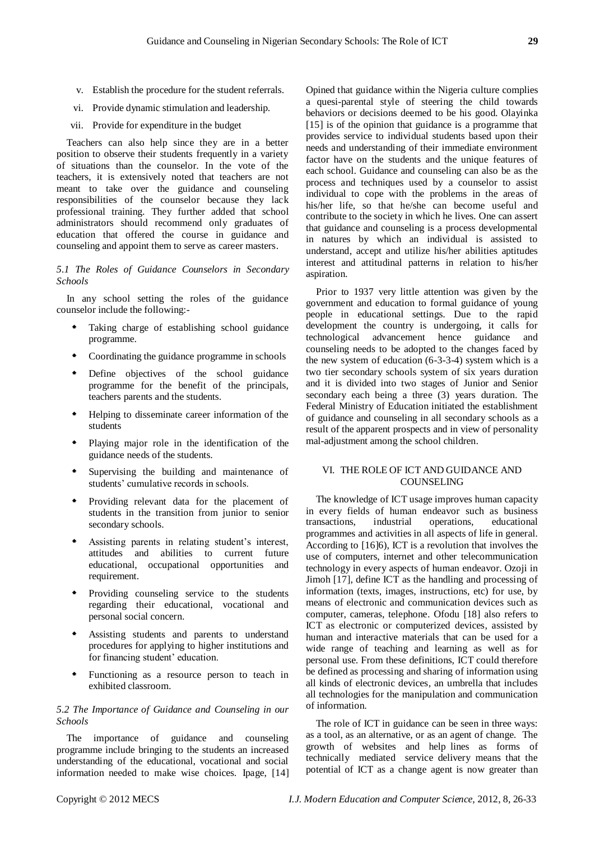- v. Establish the procedure for the student referrals.
- vi. Provide dynamic stimulation and leadership.
- vii. Provide for expenditure in the budget

Teachers can also help since they are in a better position to observe their students frequently in a variety of situations than the counselor. In the vote of the teachers, it is extensively noted that teachers are not meant to take over the guidance and counseling responsibilities of the counselor because they lack professional training. They further added that school administrators should recommend only graduates of education that offered the course in guidance and counseling and appoint them to serve as career masters.

*5.1 The Roles of Guidance Counselors in Secondary Schools*

In any school setting the roles of the guidance counselor include the following:-

- Taking charge of establishing school guidance programme.
- Coordinating the guidance programme in schools
- Define objectives of the school guidance programme for the benefit of the principals, teachers parents and the students.
- Helping to disseminate career information of the students
- Playing major role in the identification of the guidance needs of the students.
- Supervising the building and maintenance of students' cumulative records in schools.
- Providing relevant data for the placement of students in the transition from junior to senior secondary schools.
- Assisting parents in relating student's interest, attitudes and abilities to current future educational, occupational opportunities and requirement.
- Providing counseling service to the students regarding their educational, vocational and personal social concern.
- Assisting students and parents to understand procedures for applying to higher institutions and for financing student' education.
- Functioning as a resource person to teach in exhibited classroom.

#### *5.2 The Importance of Guidance and Counseling in our Schools*

The importance of guidance and counseling programme include bringing to the students an increased understanding of the educational, vocational and social information needed to make wise choices. Ipage, [14] Opined that guidance within the Nigeria culture complies a quesi-parental style of steering the child towards behaviors or decisions deemed to be his good. Olayinka [15] is of the opinion that guidance is a programme that provides service to individual students based upon their needs and understanding of their immediate environment factor have on the students and the unique features of each school. Guidance and counseling can also be as the process and techniques used by a counselor to assist individual to cope with the problems in the areas of his/her life, so that he/she can become useful and contribute to the society in which he lives. One can assert that guidance and counseling is a process developmental in natures by which an individual is assisted to understand, accept and utilize his/her abilities aptitudes interest and attitudinal patterns in relation to his/her aspiration.

Prior to 1937 very little attention was given by the government and education to formal guidance of young people in educational settings. Due to the rapid development the country is undergoing, it calls for technological advancement hence guidance and counseling needs to be adopted to the changes faced by the new system of education (6-3-3-4) system which is a two tier secondary schools system of six years duration and it is divided into two stages of Junior and Senior secondary each being a three (3) years duration. The Federal Ministry of Education initiated the establishment of guidance and counseling in all secondary schools as a result of the apparent prospects and in view of personality mal-adjustment among the school children.

#### VI. THE ROLE OF ICT AND GUIDANCE AND COUNSELING

The knowledge of ICT usage improves human capacity in every fields of human endeavor such as business transactions, industrial operations, educational programmes and activities in all aspects of life in general. According to [16]6), ICT is a revolution that involves the use of computers, internet and other telecommunication technology in every aspects of human endeavor. Ozoji in Jimoh [17], define ICT as the handling and processing of information (texts, images, instructions, etc) for use, by means of electronic and communication devices such as computer, cameras, telephone. Ofodu [18] also refers to ICT as electronic or computerized devices, assisted by human and interactive materials that can be used for a wide range of teaching and learning as well as for personal use. From these definitions, ICT could therefore be defined as processing and sharing of information using all kinds of electronic devices, an umbrella that includes all technologies for the manipulation and communication of information.

The role of ICT in guidance can be seen in three ways: as a tool, as an alternative, or as an agent of change. The growth of websites and help lines as forms of technically mediated service delivery means that the potential of ICT as a change agent is now greater than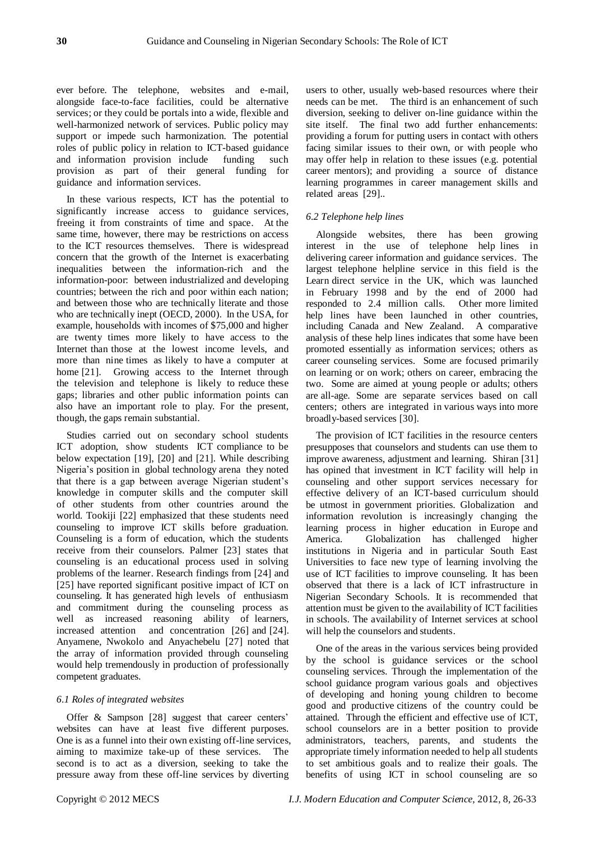ever before. The telephone, websites and e-mail, alongside face-to-face facilities, could be alternative services; or they could be portals into a wide, flexible and well-harmonized network of services. Public policy may support or impede such harmonization. The potential roles of public policy in relation to ICT-based guidance and information provision include funding such provision as part of their general funding for guidance and information services.

In these various respects, ICT has the potential to significantly increase access to guidance services, freeing it from constraints of time and space. At the same time, however, there may be restrictions on access to the ICT resources themselves. There is widespread concern that the growth of the Internet is exacerbating inequalities between the information-rich and the information-poor: between industrialized and developing countries; between the rich and poor within each nation; and between those who are technically literate and those who are technically inept (OECD, 2000). In the USA, for example, households with incomes of \$75,000 and higher are twenty times more likely to have access to the Internet than those at the lowest income levels, and more than nine times as likely to have a computer at home [21]. Growing access to the Internet through the television and telephone is likely to reduce these gaps; libraries and other public information points can also have an important role to play. For the present, though, the gaps remain substantial.

Studies carried out on secondary school students ICT adoption, show students ICT compliance to be below expectation [19], [20] and [21]. While describing Nigeria's position in global technology arena they noted that there is a gap between average Nigerian student's knowledge in computer skills and the computer skill of other students from other countries around the world. Tookiji [22] emphasized that these students need counseling to improve ICT skills before graduation. Counseling is a form of education, which the students receive from their counselors. Palmer [23] states that counseling is an educational process used in solving problems of the learner. Research findings from [24] and [25] have reported significant positive impact of ICT on counseling. It has generated high levels of enthusiasm and commitment during the counseling process as well as increased reasoning ability of learners, increased attention and concentration [26] and [24]. Anyamene, Nwokolo and Anyachebelu [27] noted that the array of information provided through counseling would help tremendously in production of professionally competent graduates.

#### *6.1 Roles of integrated websites*

Offer & Sampson [28] suggest that career centers' websites can have at least five different purposes. One is as a funnel into their own existing off-line services, aiming to maximize take-up of these services. The second is to act as a diversion, seeking to take the pressure away from these off-line services by diverting

users to other, usually web-based resources where their needs can be met. The third is an enhancement of such diversion, seeking to deliver on-line guidance within the site itself. The final two add further enhancements: providing a forum for putting users in contact with others facing similar issues to their own, or with people who may offer help in relation to these issues (e.g. potential career mentors); and providing a source of distance learning programmes in career management skills and related areas [29]..

#### *6.2 Telephone help lines*

Alongside websites, there has been growing interest in the use of telephone help lines in delivering career information and guidance services. The largest telephone helpline service in this field is the Learn direct service in the UK, which was launched in February 1998 and by the end of 2000 had responded to 2.4 million calls. Other more limited help lines have been launched in other countries, including Canada and New Zealand. A comparative analysis of these help lines indicates that some have been promoted essentially as information services; others as career counseling services. Some are focused primarily on learning or on work; others on career, embracing the two. Some are aimed at young people or adults; others are all-age. Some are separate services based on call centers; others are integrated in various ways into more broadly-based services [30].

The provision of ICT facilities in the resource centers presupposes that counselors and students can use them to improve awareness, adjustment and learning. Shiran [31] has opined that investment in ICT facility will help in counseling and other support services necessary for effective delivery of an ICT-based curriculum should be utmost in government priorities. Globalization and information revolution is increasingly changing the learning process in higher education in Europe and America. Globalization has challenged higher institutions in Nigeria and in particular South East Universities to face new type of learning involving the use of ICT facilities to improve counseling. It has been observed that there is a lack of ICT infrastructure in Nigerian Secondary Schools. It is recommended that attention must be given to the availability of ICT facilities in schools. The availability of Internet services at school will help the counselors and students.

One of the areas in the various services being provided by the school is guidance services or the school counseling services. Through the implementation of the school guidance program various goals and objectives of developing and honing young children to become good and productive citizens of the country could be attained. Through the efficient and effective use of ICT, school counselors are in a better position to provide administrators, teachers, parents, and students the appropriate timely information needed to help all students to set ambitious goals and to realize their goals. The benefits of using ICT in school counseling are so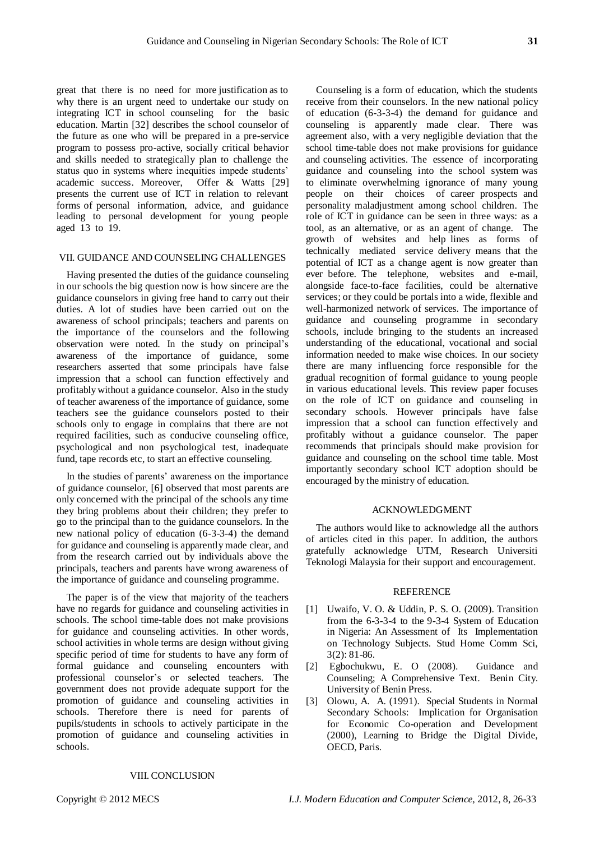great that there is no need for more justification as to why there is an urgent need to undertake our study on integrating ICT in school counseling for the basic education. Martin [32] describes the school counselor of the future as one who will be prepared in a pre-service program to possess pro-active, socially critical behavior and skills needed to strategically plan to challenge the status quo in systems where inequities impede students' academic success. Moreover, Offer & Watts [29] presents the current use of ICT in relation to relevant forms of personal information, advice, and guidance leading to personal development for young people aged 13 to 19.

#### VII. GUIDANCE AND COUNSELING CHALLENGES

Having presented the duties of the guidance counseling in our schools the big question now is how sincere are the guidance counselors in giving free hand to carry out their duties. A lot of studies have been carried out on the awareness of school principals; teachers and parents on the importance of the counselors and the following observation were noted. In the study on principal's awareness of the importance of guidance, some researchers asserted that some principals have false impression that a school can function effectively and profitably without a guidance counselor. Also in the study of teacher awareness of the importance of guidance, some teachers see the guidance counselors posted to their schools only to engage in complains that there are not required facilities, such as conducive counseling office, psychological and non psychological test, inadequate fund, tape records etc, to start an effective counseling.

In the studies of parents' awareness on the importance of guidance counselor, [6] observed that most parents are only concerned with the principal of the schools any time they bring problems about their children; they prefer to go to the principal than to the guidance counselors. In the new national policy of education (6-3-3-4) the demand for guidance and counseling is apparently made clear, and from the research carried out by individuals above the principals, teachers and parents have wrong awareness of the importance of guidance and counseling programme.

The paper is of the view that majority of the teachers have no regards for guidance and counseling activities in schools. The school time-table does not make provisions for guidance and counseling activities. In other words, school activities in whole terms are design without giving specific period of time for students to have any form of formal guidance and counseling encounters with professional counselor's or selected teachers. The government does not provide adequate support for the promotion of guidance and counseling activities in schools. Therefore there is need for parents of pupils/students in schools to actively participate in the promotion of guidance and counseling activities in schools.

Counseling is a form of education, which the students receive from their counselors. In the new national policy of education (6-3-3-4) the demand for guidance and counseling is apparently made clear. There was agreement also, with a very negligible deviation that the school time-table does not make provisions for guidance and counseling activities. The essence of incorporating guidance and counseling into the school system was to eliminate overwhelming ignorance of many young people on their choices of career prospects and personality maladjustment among school children. The role of ICT in guidance can be seen in three ways: as a tool, as an alternative, or as an agent of change. The growth of websites and help lines as forms of technically mediated service delivery means that the potential of ICT as a change agent is now greater than ever before. The telephone, websites and e-mail, alongside face-to-face facilities, could be alternative services; or they could be portals into a wide, flexible and well-harmonized network of services. The importance of guidance and counseling programme in secondary schools, include bringing to the students an increased understanding of the educational, vocational and social information needed to make wise choices. In our society there are many influencing force responsible for the gradual recognition of formal guidance to young people in various educational levels. This review paper focuses on the role of ICT on guidance and counseling in secondary schools. However principals have false impression that a school can function effectively and profitably without a guidance counselor. The paper recommends that principals should make provision for guidance and counseling on the school time table. Most importantly secondary school ICT adoption should be encouraged by the ministry of education.

#### ACKNOWLEDGMENT

The authors would like to acknowledge all the authors of articles cited in this paper. In addition, the authors gratefully acknowledge UTM, Research Universiti Teknologi Malaysia for their support and encouragement.

#### **REFERENCE**

- [1] Uwaifo, V. O. & Uddin, P. S. O. (2009). Transition from the 6-3-3-4 to the 9-3-4 System of Education in Nigeria: An Assessment of Its Implementation on Technology Subjects. Stud Home Comm Sci, 3(2): 81-86.
- [2] Egbochukwu, E. O (2008). Guidance and Counseling; A Comprehensive Text. Benin City. University of Benin Press.
- [3] Olowu, A. A. (1991). Special Students in Normal Secondary Schools: Implication for Organisation for Economic Co-operation and Development (2000), Learning to Bridge the Digital Divide, OECD, Paris.

## VIII. CONCLUSION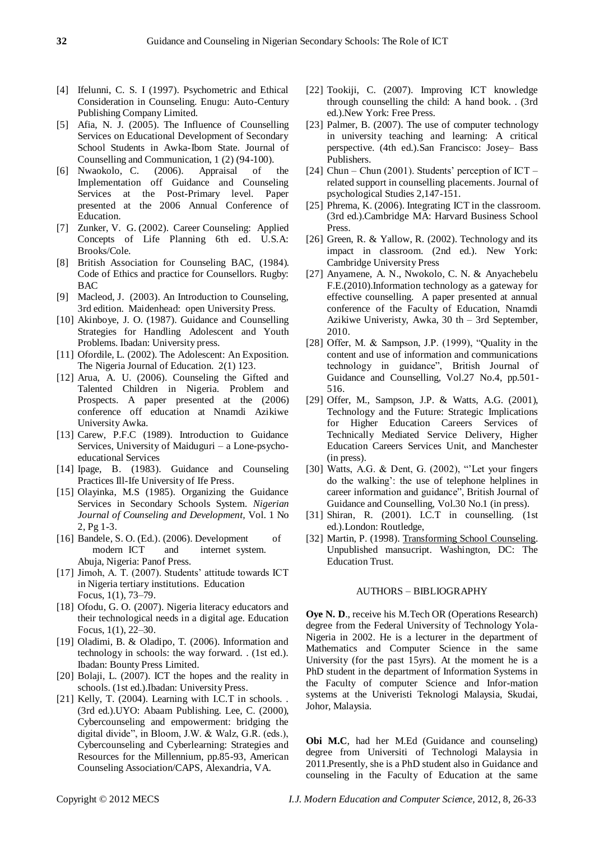- [4] Ifelunni, C. S. I (1997). Psychometric and Ethical Consideration in Counseling. Enugu: Auto-Century Publishing Company Limited.
- [5] Afia, N. J. (2005). The Influence of Counselling Services on Educational Development of Secondary School Students in Awka-Ibom State. Journal of Counselling and Communication, 1 (2) (94-100).
- [6] Nwaokolo, C. (2006). Appraisal of the Implementation off Guidance and Counseling Services at the Post-Primary level. Paper presented at the 2006 Annual Conference of Education.
- [7] Zunker, V. G. (2002). Career Counseling: Applied Concepts of Life Planning 6th ed. U.S.A: Brooks/Cole.
- [8] British Association for Counseling BAC, (1984). Code of Ethics and practice for Counsellors. Rugby: BAC
- [9] Macleod, J. (2003). An Introduction to Counseling, 3rd edition. Maidenhead: open University Press.
- [10] Akinboye, J. O. (1987). Guidance and Counselling Strategies for Handling Adolescent and Youth Problems. Ibadan: University press.
- [11] Ofordile, L. (2002). The Adolescent: An Exposition. The Nigeria Journal of Education. 2(1) 123.
- [12] Arua, A. U. (2006). Counseling the Gifted and Talented Children in Nigeria. Problem and Prospects. A paper presented at the (2006) conference off education at Nnamdi Azikiwe University Awka.
- [13] Carew, P.F.C (1989). Introduction to Guidance Services, University of Maiduguri – a Lone-psychoeducational Services
- [14] Ipage, B. (1983). Guidance and Counseling Practices Ill-Ife University of Ife Press.
- [15] Olayinka, M.S (1985). Organizing the Guidance Services in Secondary Schools System. *Nigerian Journal of Counseling and Development,* Vol. 1 No 2, Pg 1-3.
- [16] Bandele, S. O. (Ed.). (2006). Development of modern ICT and internet system. Abuja, Nigeria: Panof Press.
- [17] Jimoh, A. T. (2007). Students' attitude towards ICT in Nigeria tertiary institutions. Education Focus, 1(1), 73–79.
- [18] Ofodu, G. O. (2007). Nigeria literacy educators and their technological needs in a digital age. Education Focus, 1(1), 22–30.
- [19] Oladimi, B. & Oladipo, T. (2006). Information and technology in schools: the way forward. . (1st ed.). Ibadan: Bounty Press Limited.
- [20] Bolaji, L. (2007). ICT the hopes and the reality in schools. (1st ed.).Ibadan: University Press.
- [21] Kelly, T. (2004). Learning with I.C.T in schools. . (3rd ed.).UYO: Abaam Publishing. Lee, C. (2000), Cybercounseling and empowerment: bridging the digital divide", in Bloom, J.W. & Walz, G.R. (eds.), Cybercounseling and Cyberlearning: Strategies and Resources for the Millennium, pp.85-93, American Counseling Association/CAPS, Alexandria, VA.
- [22] Tookiji, C. (2007). Improving ICT knowledge through counselling the child: A hand book. . (3rd ed.).New York: Free Press.
- [23] Palmer, B. (2007). The use of computer technology in university teaching and learning: A critical perspective. (4th ed.).San Francisco: Josey– Bass Publishers.
- [24] Chun Chun (2001). Students' perception of  $\text{ICT}$  related support in counselling placements. Journal of psychological Studies 2,147-151.
- [25] Phrema, K. (2006). Integrating ICT in the classroom. (3rd ed.).Cambridge MA: Harvard Business School Press.
- [26] Green, R. & Yallow, R. (2002). Technology and its impact in classroom. (2nd ed.). New York: Cambridge University Press
- [27] Anyamene, A. N., Nwokolo, C. N. & Anyachebelu F.E.(2010).Information technology as a gateway for effective counselling. A paper presented at annual conference of the Faculty of Education, Nnamdi Azikiwe Univeristy, Awka, 30 th – 3rd September, 2010.
- [28] Offer, M. & Sampson, J.P. (1999), "Quality in the content and use of information and communications technology in guidance", British Journal of Guidance and Counselling, Vol.27 No.4, pp.501- 516.
- [29] Offer, M., Sampson, J.P. & Watts, A.G. (2001), Technology and the Future: Strategic Implications for Higher Education Careers Services of Technically Mediated Service Delivery, Higher Education Careers Services Unit, and Manchester (in press).
- [30] Watts, A.G.  $&$  Dent, G. (2002), "Let your fingers do the walking': the use of telephone helplines in career information and guidance", British Journal of Guidance and Counselling, Vol.30 No.1 (in press).
- [31] Shiran, R. (2001). I.C.T in counselling. (1st ed.).London: Routledge,
- [32] Martin, P. (1998). Transforming School Counseling. Unpublished mansucript. Washington, DC: The Education Trust.

#### AUTHORS – BIBLIOGRAPHY

**Ove N. D.**, receive his M.Tech OR (Operations Research) degree from the Federal University of Technology Yola-Nigeria in 2002. He is a lecturer in the department of Mathematics and Computer Science in the same University (for the past 15yrs). At the moment he is a PhD student in the department of Information Systems in the Faculty of computer Science and Infor-mation systems at the Univeristi Teknologi Malaysia, Skudai, Johor, Malaysia.

**Obi M.C**, had her M.Ed (Guidance and counseling) degree from Universiti of Technologi Malaysia in 2011.Presently, she is a PhD student also in Guidance and counseling in the Faculty of Education at the same